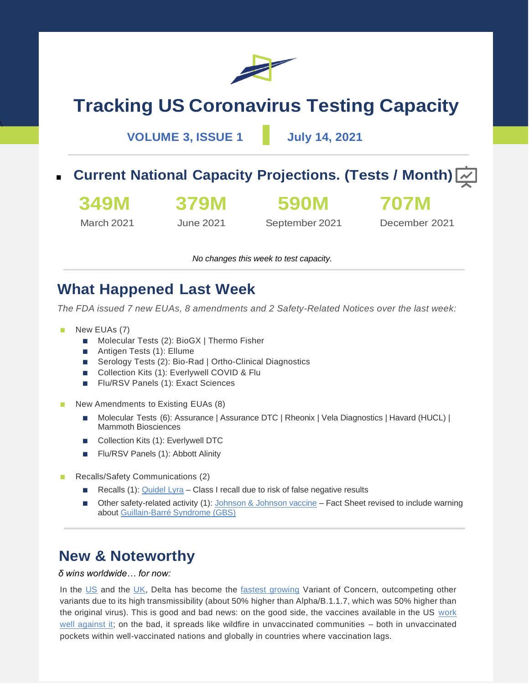

# **Tracking US Coronavirus Testing Capacity**

**VOLUME 3, ISSUE 1 July 14, 2021**

**Current National Capacity Projections. (Tests / Month)**  $\overline{\sim}$ 

**349M**

**379M**

**590M**

**707M**

March 2021

 $\overline{\mathcal{X}}$ 

June 2021

September 2021

December 2021

*No changes this week to test capacity.*

### **What Happened Last Week**

*The FDA issued 7 new EUAs, 8 amendments and 2 Safety-Related Notices over the last week:*

- New EUAs (7)
	- Molecular Tests (2): BioGX | Thermo Fisher
	- Antigen Tests (1): Ellume
	- Serology Tests (2): Bio-Rad | Ortho-Clinical Diagnostics
	- Collection Kits (1): Everlywell COVID & Flu
	- Flu/RSV Panels (1): Exact Sciences
- New Amendments to Existing EUAs (8)
	- Molecular Tests (6): Assurance | Assurance DTC | Rheonix | Vela Diagnostics | Havard (HUCL) | Mammoth Biosciences
	- Collection Kits (1): Everlywell DTC
	- Flu/RSV Panels (1): Abbott Alinity
- Recalls/Safety Communications (2)
	- Recalls (1): [Quidel Lyra](https://www.fda.gov/medical-devices/medical-device-recalls/quidel-recalls-lyra-sars-cov-2-assay-m120-due-risk-false-negative-results) Class I recall due to risk of false negative results
	- Other safety-related activity (1)[: Johnson & Johnson vaccine](https://www.cnn.com/us/live-news/coronavirus-pandemic-vaccine-updates-07-13-21/h_b782c40cbdf9f129c218f1ef92c5532c) Fact Sheet revised to include warning abou[t Guillain-Barré Syndrome \(GBS\)](https://www.fda.gov/news-events/press-announcements/coronavirus-covid-19-update-july-13-2021)

## **New & Noteworthy**

#### *δ wins worldwide… for now:*

In the [US](https://covid.cdc.gov/covid-data-tracker/#variant-proportions) and the [UK,](https://www.gov.uk/government/publications/covid-19-variants-genomically-confirmed-case-numbers/variants-distribution-of-case-data-9-july-2021) Delta has become the [fastest growing](https://yourlocalepidemiologist.substack.com/p/current-state-of-affairs-july-12/) Variant of Concern, outcompeting other variants due to its high transmissibility (about 50% higher than Alpha/B.1.1.7, which was 50% higher than the original virus). This is good and bad news: on the good side, the vaccines available in the US work [well against it;](https://www.npr.org/sections/coronavirus-live-updates/2021/07/08/1014214448/fauci-says-current-vaccines-will-stand-up-to-the-delta-variant) on the bad, it spreads like wildfire in unvaccinated communities – both in unvaccinated pockets within well-vaccinated nations and globally in countries where vaccination lags.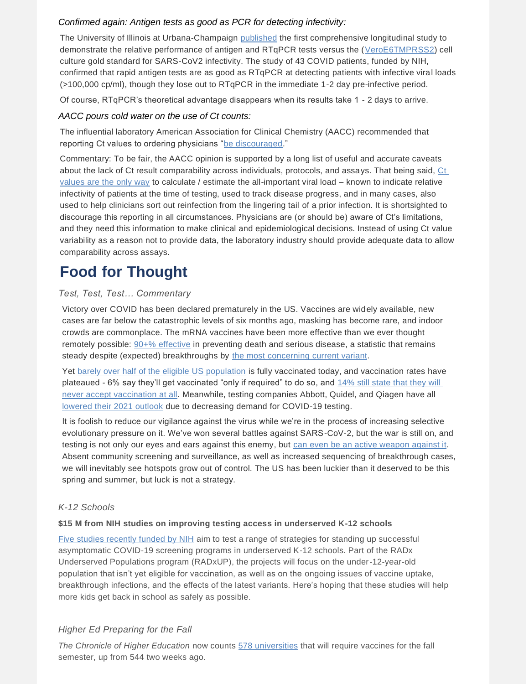#### *Confirmed again: Antigen tests as good as PCR for detecting infectivity:*

The University of Illinois at Urbana-Champaign [published](https://www.medrxiv.org/content/10.1101/2021.03.19.21253964v2.article-info#disqus_thread) the first comprehensive longitudinal study to demonstrate the relative performance of antigen and RTqPCR tests versus the [\(VeroE6TMPRSS2\)](https://www.pnas.org/content/117/13/7001) cell culture gold standard for SARS-CoV2 infectivity. The study of 43 COVID patients, funded by NIH, confirmed that rapid antigen tests are as good as RTqPCR at detecting patients with infective viral loads (>100,000 cp/ml), though they lose out to RTqPCR in the immediate 1-2 day pre-infective period.

Of course, RTqPCR's theoretical advantage disappears when its results take 1 - 2 days to arrive.

#### *AACC pours cold water on the use of Ct counts:*

The influential laboratory American Association for Clinical Chemistry (AACC) recommended that reporting Ct values to ordering physicians ["be discouraged.](https://www.aacc.org/science-and-research/covid-19-resources/statements-on-covid-19-testing/aacc-recommendation-for-reporting-sars-cov-2-cycle-threshold-ct-values)"

Commentary: To be fair, the AACC opinion is supported by a long list of useful and accurate caveats about the lack of Ct result comparability across individuals, protocols, and assays. That being said, [Ct](https://www.sciencemag.org/news/2020/09/one-number-could-help-reveal-how-infectious-covid-19-patient-should-test-results) [values are the only way](https://www.sciencemag.org/news/2020/09/one-number-could-help-reveal-how-infectious-covid-19-patient-should-test-results) to calculate / estimate the all-important viral load – known to indicate relative infectivity of patients at the time of testing, used to track disease progress, and in many cases, also used to help clinicians sort out reinfection from the lingering tail of a prior infection. It is shortsighted to discourage this reporting in all circumstances. Physicians are (or should be) aware of Ct's limitations, and they need this information to make clinical and epidemiological decisions. Instead of using Ct value variability as a reason not to provide data, the laboratory industry should provide adequate data to allow comparability across assays.

## **Food for Thought**

#### *Test, Test, Test… Commentary*

Victory over COVID has been declared prematurely in the US. Vaccines are widely available, new cases are far below the catastrophic levels of six months ago, masking has become rare, and indoor crowds are commonplace. The mRNA vaccines have been more effective than we ever thought remotely possible: [90+% effective](https://www.cdc.gov/media/releases/2021/p0514-covid-19-vaccine-effectiveness.html#:~:text=CDC%20Newsroom%20Releases-,Largest%20CDC%20COVID%2D19%20Vaccine%20Effectiveness%20Study%20in%20Health,Shows%20mRNA%20Vaccines%2094%25%20Effective) in preventing death and serious disease, a statistic that remains steady despite (expected) breakthroughs by [the most concerning current variant.](https://www.reuters.com/world/middle-east/israel-sees-drop-pfizer-vaccine-protection-against-infections-still-strong-2021-07-05/)

Yet [barely over half of the eligible US population](https://covid.cdc.gov/covid-data-tracker/#vaccinations) is fully vaccinated today, and vaccination rates have plateaued - 6% say they'll get vaccinated "only if required" to do so, and [14% still state that they will](https://www.kff.org/coronavirus-covid-19/poll-finding/kff-covid-19-vaccine-monitor-june-2021/)  [never accept vaccination at all.](https://www.kff.org/coronavirus-covid-19/poll-finding/kff-covid-19-vaccine-monitor-june-2021/) Meanwhile, testing companies Abbott, Quidel, and Qiagen have all [lowered their 2021 outlook](https://www.medtechdive.com/news/qiagen-joins-abbott-quidel-cutting-2021-outlook-as-covid-19-test-demand-wa/603221/) due to decreasing demand for COVID-19 testing.

It is foolish to reduce our vigilance against the virus while we're in the process of increasing selective evolutionary pressure on it. We've won several battles against SARS-CoV-2, but the war is still on, and testing is not only our eyes and ears against this enemy, but [can even be an active weapon against it.](https://www.liverpool.ac.uk/coronavirus/research-and-analysis/covid-smart-pilot/) Absent community screening and surveillance, as well as increased sequencing of breakthrough cases, we will inevitably see hotspots grow out of control. The US has been luckier than it deserved to be this spring and summer, but luck is not a strategy.

#### *K-12 Schools*

#### **\$15 M from NIH studies on improving testing access in underserved K-12 schools**

[Five studies recently funded by NIH](https://www.360dx.com/point-care-testing/nih-funds-additional-15m-covid-19-testing-projects-schools) aim to test a range of strategies for standing up successful asymptomatic COVID-19 screening programs in underserved K-12 schools. Part of the RADx Underserved Populations program (RADxUP), the projects will focus on the under-12-year-old population that isn't yet eligible for vaccination, as well as on the ongoing issues of vaccine uptake, breakthrough infections, and the effects of the latest variants. Here's hoping that these studies will help more kids get back in school as safely as possible.

#### *Higher Ed Preparing for the Fall*

*The Chronicle of Higher Education* now counts [578 universities](https://www.chronicle.com/blogs/live-coronavirus-updates/heres-a-list-of-colleges-that-will-require-students-to-be-vaccinated-against-covid-19?utm_source=Iterable&utm_medium=email&utm_campaign=campaign_2491617_nl_Academe-Today_date_20210622&cid=at&source=&sourceId=&cid2=gen_login_refresh) that will require vaccines for the fall semester, up from 544 two weeks ago.